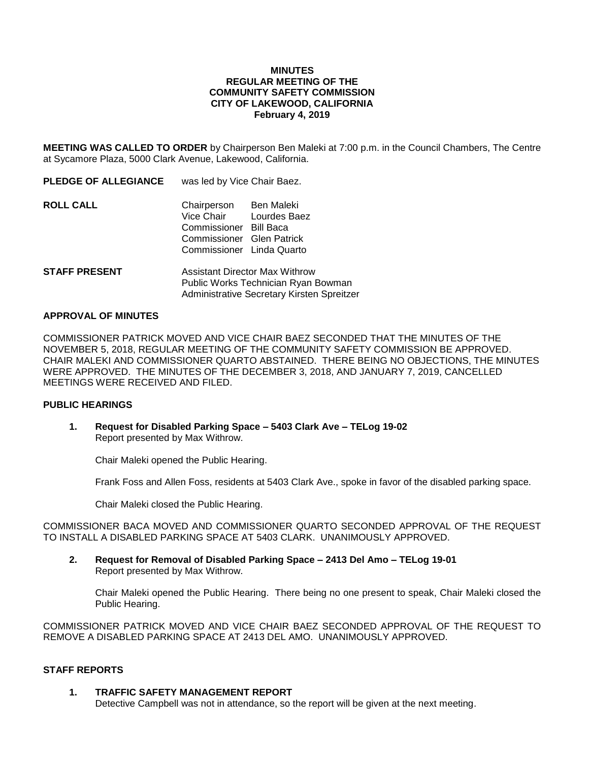#### **MINUTES REGULAR MEETING OF THE COMMUNITY SAFETY COMMISSION CITY OF LAKEWOOD, CALIFORNIA February 4, 2019**

**MEETING WAS CALLED TO ORDER** by Chairperson Ben Maleki at 7:00 p.m. in the Council Chambers, The Centre at Sycamore Plaza, 5000 Clark Avenue, Lakewood, California.

| <b>PLEDGE OF ALLEGIANCE</b> | was led by Vice Chair Baez.                                                                                |                         |
|-----------------------------|------------------------------------------------------------------------------------------------------------|-------------------------|
| ROLL CALL                   | Chairperson Ben Maleki<br>Commissioner Bill Baca<br>Commissioner Glen Patrick<br>Commissioner Linda Quarto | Vice Chair Lourdes Baez |
| <b>STAFF PRESENT</b>        | <b>Assistant Director Max Withrow</b>                                                                      |                         |

# **APPROVAL OF MINUTES**

COMMISSIONER PATRICK MOVED AND VICE CHAIR BAEZ SECONDED THAT THE MINUTES OF THE NOVEMBER 5, 2018, REGULAR MEETING OF THE COMMUNITY SAFETY COMMISSION BE APPROVED. CHAIR MALEKI AND COMMISSIONER QUARTO ABSTAINED. THERE BEING NO OBJECTIONS, THE MINUTES WERE APPROVED. THE MINUTES OF THE DECEMBER 3, 2018, AND JANUARY 7, 2019, CANCELLED MEETINGS WERE RECEIVED AND FILED.

Public Works Technician Ryan Bowman Administrative Secretary Kirsten Spreitzer

#### **PUBLIC HEARINGS**

**1. Request for Disabled Parking Space – 5403 Clark Ave – TELog 19-02** Report presented by Max Withrow.

Chair Maleki opened the Public Hearing.

Frank Foss and Allen Foss, residents at 5403 Clark Ave., spoke in favor of the disabled parking space.

Chair Maleki closed the Public Hearing.

COMMISSIONER BACA MOVED AND COMMISSIONER QUARTO SECONDED APPROVAL OF THE REQUEST TO INSTALL A DISABLED PARKING SPACE AT 5403 CLARK. UNANIMOUSLY APPROVED.

**2. Request for Removal of Disabled Parking Space – 2413 Del Amo – TELog 19-01** Report presented by Max Withrow.

Chair Maleki opened the Public Hearing. There being no one present to speak, Chair Maleki closed the Public Hearing.

COMMISSIONER PATRICK MOVED AND VICE CHAIR BAEZ SECONDED APPROVAL OF THE REQUEST TO REMOVE A DISABLED PARKING SPACE AT 2413 DEL AMO. UNANIMOUSLY APPROVED.

### **STAFF REPORTS**

#### **1. TRAFFIC SAFETY MANAGEMENT REPORT**

Detective Campbell was not in attendance, so the report will be given at the next meeting.